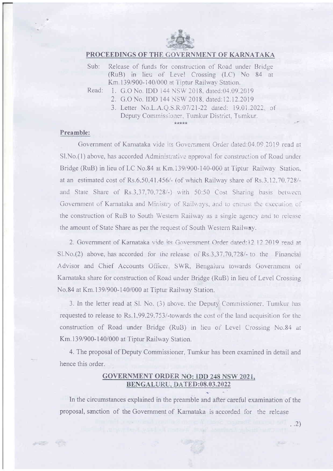

## PROCEEDINGS OF THE GOVERNMENT OF KARNATAKA

 $Suh$ Release of funds for construction of Road under Bridge (RuB) in lieu of Level Crossing (LC) No 84 at Km.139/900-140/000 at Tiptur Railway Station.

Read:

- 1. G.O No. IDD 144 NSW 2018. dated:04.09.2019
- 2. G.O No. IDD 144 NSW 2018, dated:12.12.2019
- 3. Letter No.L.A.Q.S.R:07/21-22 dated: 19.01.2022. of Deputy Commissioner, Tumkur District, Tumkur. \*\*\*\*\*

## Preamble:

Government of Karnataka vide its Government Order dated:04.09.2019 read at Sl.No.(1) above, has accorded Administrative approval for construction of Road under Bridge (RuB) in lieu of LC No.84 at Km.139/900-140-000 at Tiptur Railway Station, at an estimated cost of Rs.6,50,41,456/- (of which Railway share of Rs.3.12,70.728/and State Share of Rs.3,37,70,728/-) with 50:50 Cost Sharing basis between Government of Karnataka and Ministry of Railways, and to entrust the execution of the construction of RuB to South Western Railway as a single agency and to release the amount of State Share as per the request of South Western Railway.

2. Government of Karnataka vide its Government Order dated:12 12 2019 read at  $Sl.No.(2)$  above, has accorded for the release of Rs.3,37,70,728/- to the Financial Advisor and Chief Accounts Officer, SWR, Bengaluru towards Government of Karnataka share for construction of Road under Bridge (RuB) in lieu of Level Crossing No.84 at Km.139/900-140/000 at Tiptur Railway Station.

3. In the letter read at Sl. No. (3) above, the Deputy Commissioner, Tumkur has requested to release to Rs.1,99,29,753/-towards the cost of the land acquisition for the construction of Road under Bridge (RuB) in lieu of Level Crossing No.84 at Km.139/900-140/000 at Tiptur Railway Station.

4. The proposal of Deputy Commissioner, Tumkur has been examined in detail and hence this order.

## GOVERNMENT ORDER NO: IDD 248 NSW 2021, BENGALURU, DATED:08.03.2022

In the circumstances explained in the preamble and after careful examination of the proposal, sanction of the Government of Karnataka is accorded for the release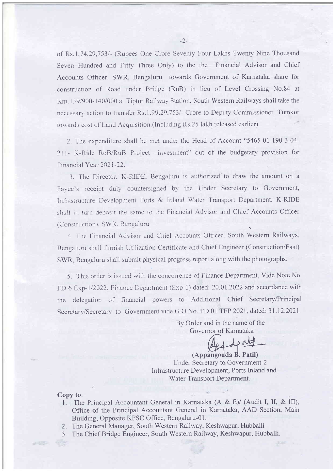of Rs.1.74.29.753/- (Rupees One Crore Seventy Four Lakhs Twenty Nine Thousand Seven Hundred and Fifty Three Only) to the the Financial Advisor and Chief Accounts Officer, SWR, Bengaluru towards Government of Karnataka share for construction of Road under Bridge (RuB) in lieu of Level Crossing No.84 at Km. 139/900-140/000 at Tiptur Railway Station. South Western Railways shall take the necessary action to transfer Rs.1,99,29,753/- Crore to Deputy Commissioner, Tumkur towards cost of Land Acquisition. (Including Rs.25 lakh released earlier)

2. The expenditure shall be met under the Head of Account "5465-01-190-3-04-211- K-Ride RoB/RuB Project - Investment" out of the budgetary provision for Financial Year 2021-22.

3. The Director, K-RIDE, Bengaluru is authorized to draw the amount on a Payee's receipt duly countersigned by the Under Secretary to Government, Infrastructure Development Ports & Inland Water Transport Department. K-RIDE shall in turn deposit the same to the Financial Advisor and Chief Accounts Officer (Construction). SWR. Bengaluru.

4. The Financial Advisor and Chief Accounts Officer. South Western Railways, Bengaluru shall furnish Utilization Certificate and Chief Engineer (Construction/East) SWR, Bengaluru shall submit physical progress report along with the photographs.

5. This order is issued with the concurrence of Finance Department, Vide Note No. FD 6 Exp-1/2022, Finance Department (Exp-1) dated: 20.01.2022 and accordance with the delegation of financial powers to Additional Chief Secretary/Principal Secretary/Secretary to Government vide G.O No. FD 01 TFP 2021, dated: 31.12.2021.

> By Order and in the name of the Governor of Karnataka

Dot

(Appangouda B. Patil) Under Secretary to Government-2 Infrastructure Development, Ports Inland and Water Transport Department.

## Copy to:

- 1. The Principal Accountant General in Karnataka (A & E)/ (Audit I, II, & III), Office of the Principal Accountant General in Karnataka, AAD Section, Main Building, Opposite KPSC Office, Bengaluru-01.
- 2. The General Manager, South Western Railway, Keshwapur, Hubballi
- 3. The Chief Bridge Engineer, South Western Railway, Keshwapur, Hubballi.

 $-2-$